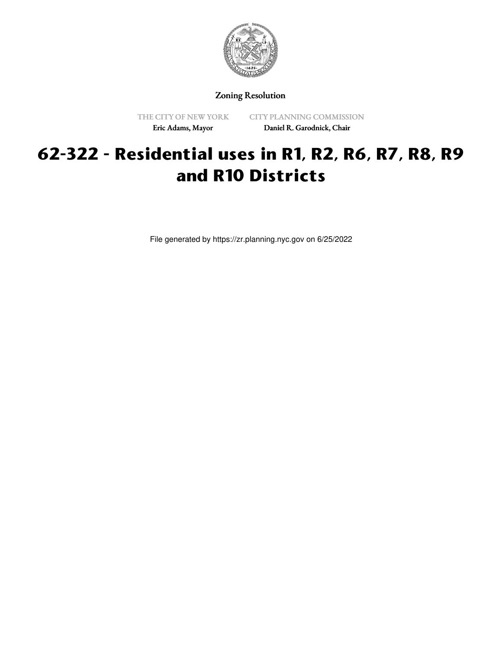

Zoning Resolution

THE CITY OF NEW YORK Eric Adams, Mayor

CITY PLANNING COMMISSION Daniel R. Garodnick, Chair

## **62-322 - Residential uses in R1, R2, R6, R7, R8, R9 and R10 Districts**

File generated by https://zr.planning.nyc.gov on 6/25/2022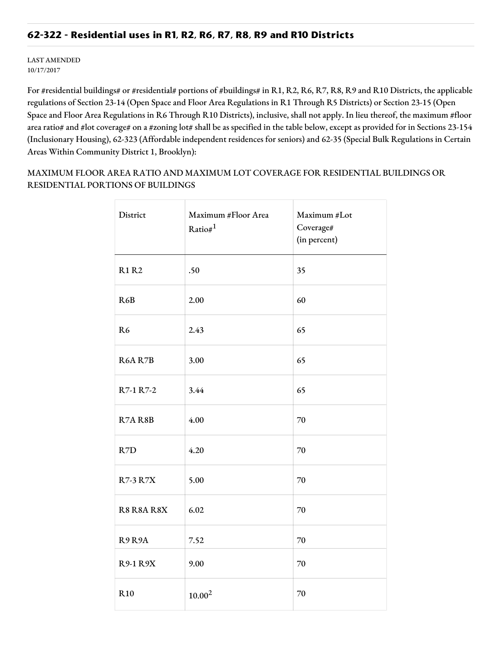## **62-322 - Residential uses in R1, R2, R6, R7, R8, R9 and R10 Districts**

LAST AMENDED 10/17/2017

For #residential buildings# or #residential# portions of #buildings# in R1, R2, R6, R7, R8, R9 and R10 Districts, the applicable regulations of Section 23-14 (Open Space and Floor Area Regulations in R1 Through R5 Districts) or Section 23-15 (Open Space and Floor Area Regulations in R6 Through R10 Districts), inclusive, shall not apply. In lieu thereof, the maximum #floor area ratio# and #lot coverage# on a #zoning lot# shall be as specified in the table below, except as provided for in Sections 23-154 (Inclusionary Housing), 62-323 (Affordable independent residences for seniors) and 62-35 (Special Bulk Regulations in Certain Areas Within Community District 1, Brooklyn):

MAXIMUM FLOOR AREA RATIO AND MAXIMUM LOT COVERAGE FOR RESIDENTIAL BUILDINGS OR RESIDENTIAL PORTIONS OF BUILDINGS

| District        | Maximum #Floor Area<br>Ratio# $1$ | Maximum #Lot<br>Coverage#<br>(in percent) |
|-----------------|-----------------------------------|-------------------------------------------|
| <b>R1 R2</b>    | .50                               | 35                                        |
| R6B             | 2.00                              | 60                                        |
| R <sub>6</sub>  | 2.43                              | 65                                        |
| R6A R7B         | 3.00                              | 65                                        |
| R7-1 R7-2       | 3.44                              | 65                                        |
| R7AR8B          | 4.00                              | 70                                        |
| R7D             | 4.20                              | $70\,$                                    |
| <b>R7-3 R7X</b> | 5.00                              | 70                                        |
| R8 R8A R8X      | 6.02                              | 70                                        |
| R9R9A           | 7.52                              | 70                                        |
| R9-1 R9X        | 9.00                              | 70                                        |
| R <sub>10</sub> | $10.00^{2}$                       | 70                                        |